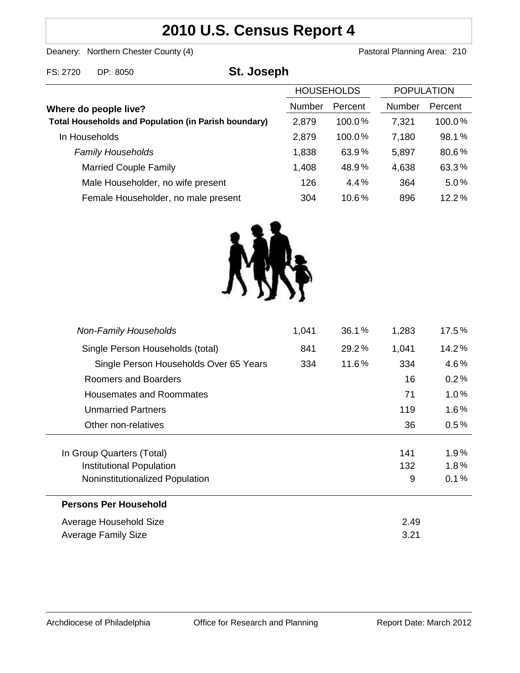# **2010 U.S. Census Report 4**

Deanery: Northern Chester County (4) Deanery: Northern Chester County (4)

| FS: 2720              | DP: 8050                                                    | St. Joseph    |                   |               |                   |          |
|-----------------------|-------------------------------------------------------------|---------------|-------------------|---------------|-------------------|----------|
|                       |                                                             |               | <b>HOUSEHOLDS</b> |               | <b>POPULATION</b> |          |
| Where do people live? |                                                             | <b>Number</b> | Percent           | <b>Number</b> | Percent           |          |
|                       | <b>Total Households and Population (in Parish boundary)</b> |               | 2,879             | $100.0\%$     | 7,321             | 100.0%   |
| In Households         |                                                             |               | 2,879             | 100.0%        | 7,180             | 98.1%    |
|                       | <b>Family Households</b>                                    |               | 1,838             | 63.9%         | 5,897             | 80.6%    |
|                       | <b>Married Couple Family</b>                                |               | 1,408             | 48.9%         | 4,638             | 63.3%    |
|                       | Male Householder, no wife present                           |               | 126               | 4.4%          | 364               | 5.0%     |
|                       | Female Householder, no male present                         |               | 304               | 10.6%         | 896               | $12.2\%$ |



| <b>Non-Family Households</b>           | 1,041 | 36.1% | 1,283 | 17.5%   |
|----------------------------------------|-------|-------|-------|---------|
| Single Person Households (total)       | 841   | 29.2% | 1,041 | 14.2%   |
| Single Person Households Over 65 Years | 334   | 11.6% | 334   | 4.6%    |
| Roomers and Boarders                   |       |       | 16    | 0.2%    |
| Housemates and Roommates               |       |       | 71    | 1.0%    |
| <b>Unmarried Partners</b>              |       |       | 119   | $1.6\%$ |
| Other non-relatives                    |       |       | 36    | $0.5\%$ |
|                                        |       |       |       |         |
| In Group Quarters (Total)              |       |       | 141   | 1.9%    |
| <b>Institutional Population</b>        |       |       | 132   | 1.8%    |
| Noninstitutionalized Population        |       |       | 9     | 0.1%    |
| <b>Persons Per Household</b>           |       |       |       |         |
| Average Household Size                 |       |       | 2.49  |         |
| Average Family Size                    |       |       | 3.21  |         |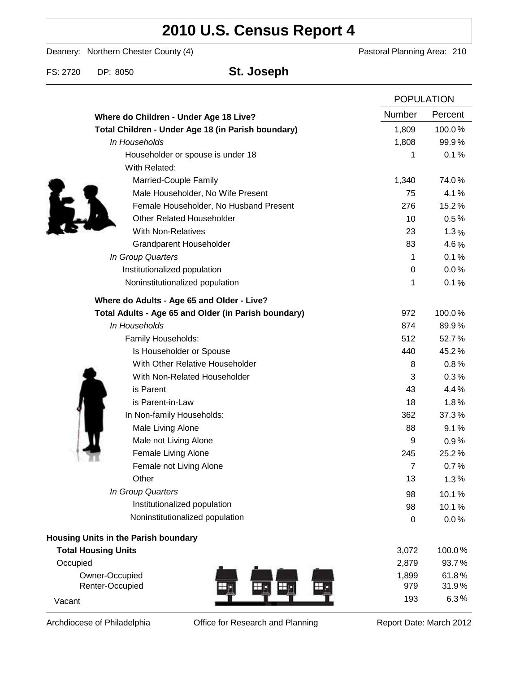# **2010 U.S. Census Report 4**

Deanery: Northern Chester County (4) Deanery: Northern Chester County (4)

FS: 2720 DP: 8050 **St. Joseph**

|                                                      |                | <b>POPULATION</b> |  |
|------------------------------------------------------|----------------|-------------------|--|
| Where do Children - Under Age 18 Live?               | Number         | Percent           |  |
| Total Children - Under Age 18 (in Parish boundary)   | 1,809          | 100.0%            |  |
| In Households                                        | 1,808          | 99.9%             |  |
| Householder or spouse is under 18                    | 1              | 0.1%              |  |
| With Related:                                        |                |                   |  |
| Married-Couple Family                                | 1,340          | 74.0%             |  |
| Male Householder, No Wife Present                    | 75             | 4.1%              |  |
| Female Householder, No Husband Present               | 276            | 15.2%             |  |
| <b>Other Related Householder</b>                     | 10             | 0.5%              |  |
| <b>With Non-Relatives</b>                            | 23             | 1.3%              |  |
| Grandparent Householder                              | 83             | 4.6%              |  |
| In Group Quarters                                    | 1              | 0.1%              |  |
| Institutionalized population                         | 0              | 0.0%              |  |
| Noninstitutionalized population                      | 1              | 0.1%              |  |
| Where do Adults - Age 65 and Older - Live?           |                |                   |  |
| Total Adults - Age 65 and Older (in Parish boundary) | 972            | 100.0%            |  |
| In Households                                        | 874            | 89.9%             |  |
| Family Households:                                   | 512            | 52.7%             |  |
| Is Householder or Spouse                             | 440            | 45.2%             |  |
| With Other Relative Householder                      | 8              | 0.8%              |  |
| With Non-Related Householder                         | 3              | 0.3%              |  |
| is Parent                                            | 43             | 4.4%              |  |
| is Parent-in-Law                                     | 18             | 1.8%              |  |
| In Non-family Households:                            | 362            | 37.3%             |  |
| Male Living Alone                                    | 88             | 9.1%              |  |
| Male not Living Alone                                | 9              | $0.9\%$           |  |
| Female Living Alone                                  | 245            | 25.2%             |  |
| Female not Living Alone                              | $\overline{7}$ | 0.7%              |  |
| Other                                                | 13             | 1.3%              |  |
| In Group Quarters                                    | 98             | 10.1%             |  |
| Institutionalized population                         | 98             | 10.1%             |  |
| Noninstitutionalized population                      | 0              | 0.0%              |  |
| Housing Units in the Parish boundary                 |                |                   |  |
| <b>Total Housing Units</b>                           | 3,072          | 100.0%            |  |
| Occupied                                             | 2,879          | 93.7%             |  |
| Owner-Occupied                                       | 1,899          | 61.8%             |  |
| Renter-Occupied                                      | 979            | 31.9%             |  |
| Vacant                                               | 193            | 6.3%              |  |

Archdiocese of Philadelphia **Office for Research and Planning** Report Date: March 2012